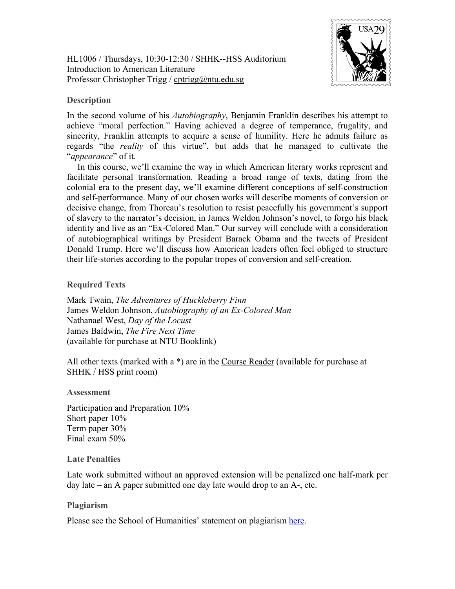HL1006 / Thursdays, 10:30-12:30 / SHHK--HSS Auditorium Introduction to American Literature Professor Christopher Trigg / [cptrigg@ntu.edu.sg](mailto:cptrigg@ntu.edu.sg)



## **Description**

In the second volume of his *Autobiography*, Benjamin Franklin describes his attempt to achieve "moral perfection." Having achieved a degree of temperance, frugality, and sincerity, Franklin attempts to acquire a sense of humility. Here he admits failure as regards "the *reality* of this virtue", but adds that he managed to cultivate the "*appearance*" of it.

In this course, we'll examine the way in which American literary works represent and facilitate personal transformation. Reading a broad range of texts, dating from the colonial era to the present day, we'll examine different conceptions of self-construction and self-performance. Many of our chosen works will describe moments of conversion or decisive change, from Thoreau's resolution to resist peacefully his government's support of slavery to the narrator's decision, in James Weldon Johnson's novel, to forgo his black identity and live as an "Ex-Colored Man." Our survey will conclude with a consideration of autobiographical writings by President Barack Obama and the tweets of President Donald Trump. Here we'll discuss how American leaders often feel obliged to structure their life-stories according to the popular tropes of conversion and self-creation.

**Required Texts**

Mark Twain, *The Adventures of Huckleberry Finn* James Weldon Johnson, *Autobiography of an Ex-Colored Man* Nathanael West, *Day of the Locust* James Baldwin, *The Fire Next Time* (available for purchase at NTU Booklink)

All other texts (marked with a \*) are in the Course Reader (available for purchase at SHHK / HSS print room)

## **Assessment**

Participation and Preparation 10% Short paper 10% Term paper 30% Final exam 50%

## **Late Penalties**

Late work submitted without an approved extension will be penalized one half-mark per day late – an A paper submitted one day late would drop to an A-, etc.

## **Plagiarism**

Please see the School of Humanities' statement on plagiarism [here.](http://www.soh.ntu.edu.sg/Programmes/history/Documents/HASS%20Plagiarism%20Policy%20Undergraduate%20For%20General%20Distribution.pdf)